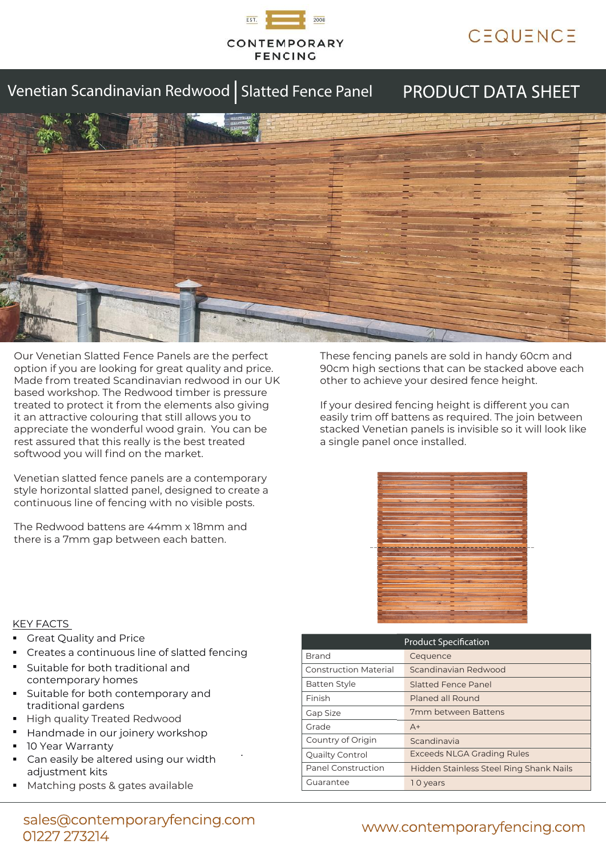

# CEQUENCE

## Venetian Scandinavian Redwood | Slatted Fence Panel

## PRODUCT DATA SHEET



Our Venetian Slatted Fence Panels are the perfect option if you are looking for great quality and price. Made from treated Scandinavian redwood in our UK based workshop. The Redwood timber is pressure treated to protect it from the elements also giving it an attractive colouring that still allows you to appreciate the wonderful wood grain. You can be rest assured that this really is the best treated softwood you will find on the market.

Venetian slatted fence panels are a contemporary style horizontal slatted panel, designed to create a continuous line of fencing with no visible posts.

The Redwood battens are 44mm x 18mm and there is a 7mm gap between each batten.

These fencing panels are sold in handy 60cm and 90cm high sections that can be stacked above each other to achieve your desired fence height.

If your desired fencing height is different you can easily trim off battens as required. The join between stacked Venetian panels is invisible so it will look like a single panel once installed.



### KEY FACTS

- Great Quality and Price
- Creates a continuous line of slatted fencing
- Suitable for both traditional and contemporary homes
- Suitable for both contemporary and traditional gardens
- : High quality Treated Redwood
- Handmade in our joinery workshop
- 10 Year Warranty
- . Can easily be altered using our width adjustment kits
- : Matching posts & gates available

| <b>Product Specification</b> |                                         |  |
|------------------------------|-----------------------------------------|--|
| <b>Brand</b>                 | Cequence                                |  |
| <b>Construction Material</b> | Scandinavian Redwood                    |  |
| <b>Batten Style</b>          | Slatted Fence Panel                     |  |
| Finish                       | Planed all Round                        |  |
| Gap Size                     | 7mm between Battens                     |  |
| Grade                        | $A+$                                    |  |
| Country of Origin            | Scandinavia                             |  |
| Quailty Control              | <b>Exceeds NLGA Grading Rules</b>       |  |
| <b>Panel Construction</b>    | Hidden Stainless Steel Ring Shank Nails |  |
| Guarantee                    | 10 years                                |  |

### sales@contemporaryfencing.com 01227 273214

## www.contemporaryfencing.com